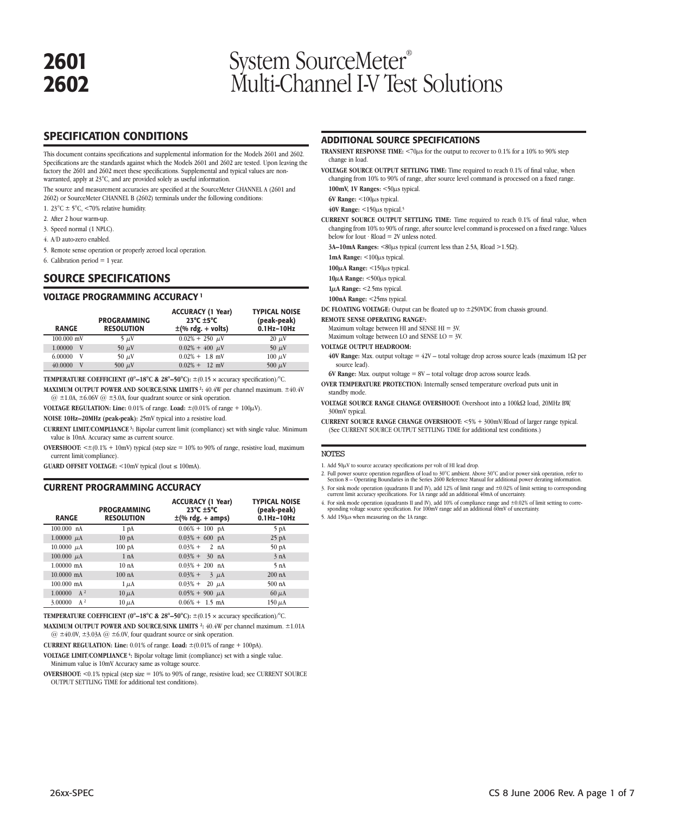# **2601** System SourceMeter<sup>®</sup><br> **2602** Multi-Channel LV Tes **2602** Multi-Channel I-V Test Solutions

# **SPECIFICATION CONDITIONS**

This document contains specifications and supplemental information for the Models 2601 and 2602. Specifications are the standards against which the Models 2601 and 2602 are tested. Upon leaving the factory the 2601 and 2602 meet these specifications. Supplemental and typical values are nonwarranted, apply at 23°C, and are provided solely as useful information.

The source and measurement accuracies are specified at the SourceMeter CHANNEL A (2601 and 2602) or SourceMeter CHANNEL B (2602) terminals under the following conditions:

- 1. 23°C ± 5°C, <70% relative humidity.
- 2. After 2 hour warm-up.
- 3. Speed normal (1 NPLC).
- 4. A/D auto-zero enabled.

5. Remote sense operation or properly zeroed local operation.

6. Calibration period  $= 1$  year.

### **SOURCE SPECIFICATIONS**

### **VOLTAGE PROGRAMMING ACCURACY <sup>1</sup>**

| <b>RANGE</b> | <b>PROGRAMMING</b><br><b>RESOLUTION</b> | <b>ACCURACY (1 Year)</b><br>$23^{\circ}$ C $\pm 5^{\circ}$ C<br>$\pm$ (% rdg. + volts) | <b>TYPICAL NOISE</b><br>(peak-peak)<br>$0.1$ Hz- $10$ Hz |
|--------------|-----------------------------------------|----------------------------------------------------------------------------------------|----------------------------------------------------------|
| $100.000$ mV | $5 \mu V$                               | $0.02\% + 250 \mu V$                                                                   | $20 \mu V$                                               |
| 1.00000<br>V | 50 $\mu$ V                              | $0.02\% + 400 \mu V$                                                                   | $50 \mu V$                                               |
| 6.00000<br>V | $50 \mu V$                              | $0.02\% + 1.8$ mV                                                                      | $100 \mu$ V                                              |
| 40.0000<br>V | 500 $\mu$ V                             | $0.02\% + 12$ mV                                                                       | 500 $\mu$ V                                              |

**TEMPERATURE COEFFICIENT (0°-18°C & 28°-50°C):**  $\pm$ (0.15 × accuracy specification)/°C. **MAXIMUM OUTPUT POWER AND SOURCE/SINK LIMITS 2:** 40.4W per channel maximum. ±40.4V

 $@ \pm 1.0A, \pm 6.06V @ \pm 3.0A,$  four quadrant source or sink operation.

**VOLTAGE REGULATION: Line:** 0.01% of range. **Load:** ±(0.01% of range + 100µV).

**NOISE 10Hz–20MHz (peak-peak):** 25mV typical into a resistive load.

**CURRENT LIMIT/COMPLIANCE 3:** Bipolar current limit (compliance) set with single value. Minimum value is 10nA. Accuracy same as current source.

**OVERSHOOT:**  $\leq \pm (0.1\% + 10\text{mV})$  typical (step size = 10% to 90% of range, resistive load, maximum current limit/compliance).

**GUARD OFFSET VOLTAGE:** <10mV typical (Iout ≤ 100mA).

### **CURRENT PROGRAMMING ACCURACY**

| <b>RANGE</b>         | <b>PROGRAMMING</b><br><b>RESOLUTION</b> | <b>ACCURACY (1 Year)</b><br>$23^{\circ}$ C $\pm 5^{\circ}$ C<br>$\pm$ (% rdg. + amps) | <b>TYPICAL NOISE</b><br>(peak-peak)<br>$0.1$ Hz- $10$ Hz |
|----------------------|-----------------------------------------|---------------------------------------------------------------------------------------|----------------------------------------------------------|
| 100.000 nA           | 1 <sub>pA</sub>                         | $0.06\% + 100$ pA                                                                     | 5 pA                                                     |
| 1.00000 $\mu$ A      | 10 <sub>pA</sub>                        | $0.03\% + 600$ pA                                                                     | 25 <sub>pA</sub>                                         |
| 10.0000 $\mu$ A      | 100 <sub>pA</sub>                       | $0.03\% + 2 \text{ nA}$                                                               | 50 <sub>pA</sub>                                         |
| 100.000 $\mu$ A      | 1 nA                                    | $0.03\% + 30$ nA                                                                      | 3 nA                                                     |
| $1.00000 \text{ mA}$ | 10nA                                    | $0.03\% + 200$ nA                                                                     | 5 nA                                                     |
| $10.0000$ mA         | 100nA                                   | $0.03% +$<br>$3 \mu A$                                                                | $200$ nA                                                 |
| $100.000$ mA         | $1 \mu A$                               | $0.03\% +$<br>$20 \mu A$                                                              | $500$ nA                                                 |
| 1.00000<br>$A^2$     | $10 \mu A$                              | $0.05\% + 900 \mu A$                                                                  | $60 \mu A$                                               |
| $A^2$<br>3.00000     | $10 \mu A$                              | $0.06\% + 1.5$ mA                                                                     | $150 \mu A$                                              |

**TEMPERATURE COEFFICIENT (0°–18°C & 28°–50°C):**  $\pm$ (0.15 × accuracy specification)/°C.

**MAXIMUM OUTPUT POWER AND SOURCE/SINK LIMITS 2:** 40.4W per channel maximum. ±1.01A  $@ \pm 40.0V, \pm 3.03A @ \pm 6.0V,$  four quadrant source or sink operation.

**CURRENT REGULATION: Line:** 0.01% of range. **Load:** ±(0.01% of range + 100pA).

**VOLTAGE LIMIT/COMPLIANCE 4:** Bipolar voltage limit (compliance) set with a single value. Minimum value is 10mV. Accuracy same as voltage source.

**OVERSHOOT:** <0.1% typical (step size = 10% to 90% of range, resistive load; see CURRENT SOURCE OUTPUT SETTLING TIME for additional test conditions).

### **ADDITIONAL SOURCE SPECIFICATIONS**

- **TRANSIENT RESPONSE TIME:**  $\langle 70\mu s$  for the output to recover to 0.1% for a 10% to 90% step change in load.
- **VOLTAGE SOURCE OUTPUT SETTLING TIME:** Time required to reach 0.1% of final value, when changing from 10% to 90% of range, after source level command is processed on a fixed range.

**100mV, 1V Ranges:** <50µs typical.

**6V Range:** <100µs typical.

**40V Range:** <150µs typical.5

**CURRENT SOURCE OUTPUT SETTLING TIME:** Time required to reach 0.1% of final value, when changing from 10% to 90% of range, after source level command is processed on a fixed range. Values below for Iout  $\cdot$  Rload = 2V unless noted.

**3A–10mA Ranges:** <80µs typical (current less than 2.5A, Rload >1.5Ω).

**1mA Range:** <100µs typical.

**100µA Range:** <150µs typical.

**10µA Range:** <500µs typical.

**1µA Range:** <2.5ms typical.

**100nA Range:** <25ms typical.

**DC FLOATING VOLTAGE:** Output can be floated up to ±250VDC from chassis ground.

#### **REMOTE SENSE OPERATING RANGE1:**

Maximum voltage between HI and SENSE HI = 3V.

Maximum voltage between LO and SENSE LO = 3V.

### **VOLTAGE OUTPUT HEADROOM:**

- **40V Range:** Max. output voltage = 42V total voltage drop across source leads (maximum 1Ω per source lead).
- **6V Range:** Max. output voltage = 8V total voltage drop across source leads.
- **OVER TEMPERATURE PROTECTION:** Internally sensed temperature overload puts unit in standby mode.
- **VOLTAGE SOURCE RANGE CHANGE OVERSHOOT:** Overshoot into a 100kΩ load, 20MHz BW, 300mV typical.
- **CURRENT SOURCE RANGE CHANGE OVERSHOOT:** <5% + 300mV/Rload of larger range typical. (See CURRENT SOURCE OUTPUT SETTLING TIME for additional test conditions.)

#### NOTES

- 1. Add  $50\mu$ V to source accuracy specifications per volt of HI lead drop.
- 2. Full power source operation regardless of load to 30°C ambient. Above 30°C and/or power sink operation, refer to Section 8 Operating Boundaries in the Series 2600 Reference Manual for additional power derating informa
- 3. For sink mode operation (quadrants II and IV), add 12% of limit range and ±0.02% of limit setting to corresponding current limit accuracy specifications. For 1A range add an additional 40mA of uncertainty.
- 4. For sink mode operation (quadrants II and IV), add 10% of compliance range and ±0.02% of limit setting to corre-sponding voltage source specification. For 100mV range add an additional 60mV of uncertainty.

5. Add 150 $\mu$ s when measuring on the 1A range.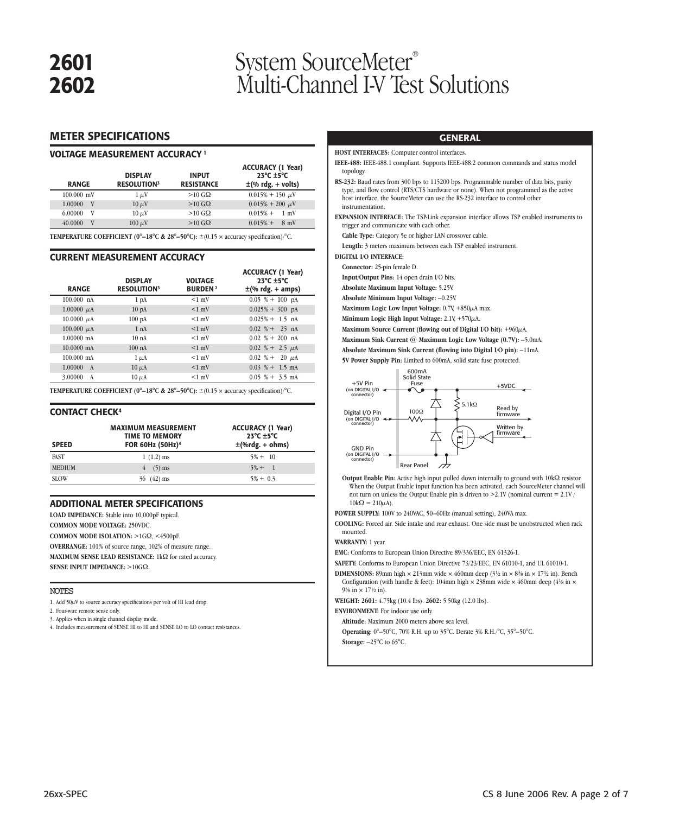# **2601** System SourceMeter®<br>**2602** Multi-Channel I-V Tes **2602** Multi-Channel I-V Test Solutions

### **METER SPECIFICATIONS**

### **VOLTAGE MEASUREMENT ACCURACY <sup>1</sup>**

| <b>RANGE</b> | <b>DISPLAY</b><br><b>RESOLUTION3</b> | <b>INPUT</b><br><b>RESISTANCE</b> | <b>ACCURACY (1 Year)</b><br>$23^{\circ}$ C $\pm 5^{\circ}$ C<br>$\pm$ (% rdg. + volts) |
|--------------|--------------------------------------|-----------------------------------|----------------------------------------------------------------------------------------|
| 100.000 mV   | $1 \mu V$                            | $>10$ G $\Omega$                  | $0.015\% + 150 \mu V$                                                                  |
| 1.00000<br>V | $10 \mu V$                           | $>10$ G $\Omega$                  | $0.015\% + 200 \mu V$                                                                  |
| 6.00000<br>V | $10 \mu V$                           | $>10$ G $\Omega$                  | $0.015% +$<br>$1 \text{ mV}$                                                           |
| 40.0000<br>V | $100 \mu V$                          | $>10$ G $\Omega$                  | $0.015%$ +<br>$8 \text{ mV}$                                                           |

**TEMPERATURE COEFFICIENT (0°–18°C & 28°–50°C):** ±(0.15 × accuracy specification)/°C.

### **CURRENT MEASUREMENT ACCURACY**

| <b>RANGE</b>            | <b>DISPLAY</b><br><b>RESOLUTION3</b> | VOLTAGE<br><b>BURDEN2</b> | <b>ACCURACY (1 Year)</b><br>$23^{\circ}$ C $\pm 5^{\circ}$ C<br>$\pm$ (% rdg. + amps) |
|-------------------------|--------------------------------------|---------------------------|---------------------------------------------------------------------------------------|
| 100.000 nA              | 1 <sub>pA</sub>                      | $<1$ mV                   | $0.05 \% + 100$ pA                                                                    |
| 1.00000 $\mu$ A         | 10 <sub>pA</sub>                     | $<1$ mV                   | $0.025\% + 300$ pA                                                                    |
| $10.0000 \mu A$         | $100\ \mathrm{pA}$                   | $<1$ mV                   | $0.025% + 1.5$ nA                                                                     |
| $100.000 \mu A$         | 1 nA                                 | $<1$ mV                   | $0.02 \% + 25 nA$                                                                     |
| $1.00000$ mA            | 10nA                                 | $<1$ mV                   | $0.02 \% + 200$ nA                                                                    |
| $10.0000$ mA            | 100nA                                | $<1$ mV                   | $0.02 \% + 2.5 \mu A$                                                                 |
| $100.000$ mA            | $1 \mu A$                            | $<1$ mV                   | $0.02 \% + 20 \mu A$                                                                  |
| 1.00000<br>$\mathbf{A}$ | $10 \mu A$                           | $<1$ mV                   | $0.03\% + 1.5$ mA                                                                     |
| 3.00000<br>A            | $10 \mu A$                           | $<1$ mV                   | $0.05\% + 3.5$ mA                                                                     |

**TEMPERATURE COEFFICIENT (0°-18°C & 28°-50°C):**  $\pm$ (0.15 × accuracy specification)/°C.

### **CONTACT CHECK4**

| <b>SPEED</b>  | <b>MAXIMUM MEASUREMENT</b><br><b>TIME TO MEMORY</b><br>FOR 60Hz (50Hz) <sup>4</sup> | <b>ACCURACY (1 Year)</b><br>$23^{\circ}$ C $\pm 5^{\circ}$ C<br>$\pm$ (%rdg. + ohms) |
|---------------|-------------------------------------------------------------------------------------|--------------------------------------------------------------------------------------|
| <b>FAST</b>   | $1(1.2)$ ms                                                                         | $5\% + 10$                                                                           |
| <b>MEDIUM</b> | $4$ (5) ms                                                                          | $5\% + 1$                                                                            |
| <b>SLOW</b>   | $36(42)$ ms                                                                         | $5\% + 0.3$                                                                          |

### **ADDITIONAL METER SPECIFICATIONS**

**LOAD IMPEDANCE:** Stable into 10,000pF typical.

**COMMON MODE VOLTAGE:** 250VDC.

**COMMON MODE ISOLATION:** >1GΩ, <4500pF

**OVERRANGE:** 101% of source range, 102% of measure range.

**MAXIMUM SENSE LEAD RESISTANCE:** 1kΩ for rated accuracy.

**SENSE INPUT IMPEDANCE:** >10GΩ.

### NOTES

1. Add  $50\mu$ V to source accuracy specifications per volt of HI lead drop.

2. Four-wire remote sense only.

3. Applies when in single channel display mode.

4. Includes measurement of SENSE HI to HI and SENSE LO to LO contact resistances.

### **GENERAL**

**HOST INTERFACES:** Computer control interfaces.

**IEEE-488:** IEEE-488.1 compliant. Supports IEEE-488.2 common commands and status model topology.

**RS-232:** Baud rates from 300 bps to 115200 bps. Programmable number of data bits, parity type, and flow control (RTS/CTS hardware or none). When not programmed as the active host interface, the SourceMeter can use the RS-232 interface to control other instrumentation.

**EXPANSION INTERFACE:** The TSP-Link expansion interface allows TSP enabled instruments to trigger and communicate with each other.

**Cable Type:** Category 5e or higher LAN crossover cable.

**Length:** 3 meters maximum between each TSP enabled instrument.

**DIGITAL I/O INTERFACE:**

**Connector:** 25-pin female D.

**Input/Output Pins:** 14 open drain I/O bits.

**Absolute Maximum Input Voltage:** 5.25V.

**Absolute Minimum Input Voltage:** –0.25V.

Maximum Logic Low Input Voltage: 0.7V +850μA max.

**Minimum Logic High Input Voltage:** 2.1V, +570µA.

**Maximum Source Current (flowing out of Digital I/O bit):** +960µA.

**Maximum Sink Current @ Maximum Logic Low Voltage (0.7V):** –5.0mA.

**Absolute Maximum Sink Current (flowing into Digital I/O pin):** –11mA.

**5V Power Supply Pin:** Limited to 600mA, solid state fuse protected.



**Output Enable Pin:** Active high input pulled down internally to ground with 10kΩ resistor. When the Output Enable input function has been activated, each SourceMeter channel will not turn on unless the Output Enable pin is driven to  $>2.1V$  (nominal current = 2.1V /  $10\text{k}\Omega = 210\mu\text{A}$ ).

**POWER SUPPLY:** 100V to 240VAC, 50–60Hz (manual setting), 240VA max.

**COOLING:** Forced air. Side intake and rear exhaust. One side must be unobstructed when rack mounted.

### **WARRANTY:** 1 year.

**EMC:** Conforms to European Union Directive 89/336/EEC, EN 61326-1.

**SAFETY:** Conforms to European Union Directive 73/23/EEC, EN 61010-1, and UL 61010-1.

- **DIMENSIONS:** 89mm high  $\times$  213mm wide  $\times$  460mm deep (3<sup>1</sup>/2 in  $\times$  8<sup>3</sup>/8 in  $\times$  17<sup>1</sup>/2 in). Bench Configuration (with handle & feet): 104mm high  $\times$  238mm wide  $\times$  460mm deep (41% in  $\times$ 93/8 in  $\times$  17<sup>1</sup>/2 in).
- **WEIGHT: 2601:** 4.75kg (10.4 lbs). **2602:** 5.50kg (12.0 lbs).

**ENVIRONMENT:** For indoor use only.

**Altitude:** Maximum 2000 meters above sea level.

**Operating:** 0°–50°C, 70% R.H. up to 35°C. Derate 3% R.H./°C, 35°–50°C.

**Storage:** –25°C to 65°C.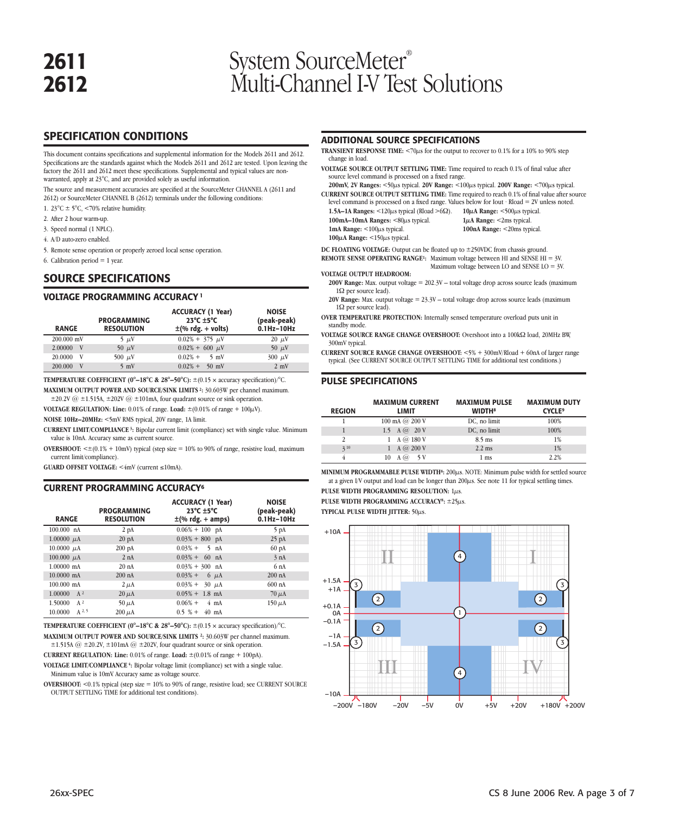# **2611** System SourceMeter<sup>®</sup><br> **2612** Multi-Channel I-V Tes **2612** Multi-Channel I-V Test Solutions

# **SPECIFICATION CONDITIONS**

This document contains specifications and supplemental information for the Models 2611 and 2612. Specifications are the standards against which the Models 2611 and 2612 are tested. Upon leaving the factory the 2611 and 2612 meet these specifications. Supplemental and typical values are nonwarranted, apply at 23°C, and are provided solely as useful information.

The source and measurement accuracies are specified at the SourceMeter CHANNEL A (2611 and 2612) or SourceMeter CHANNEL B (2612) terminals under the following conditions:

- 1. 23°C ± 5°C, <70% relative humidity.
- 2. After 2 hour warm-up.
- 3. Speed normal (1 NPLC).
- 4. A/D auto-zero enabled.
- 5. Remote sense operation or properly zeroed local sense operation.
- 6. Calibration period  $= 1$  year.

### **SOURCE SPECIFICATIONS**

### **VOLTAGE PROGRAMMING ACCURACY <sup>1</sup>**

| <b>RANGE</b> | PROGRAMMING<br><b>RESOLUTION</b> | <b>ACCURACY (1 Year)</b><br>$23^{\circ}$ C $\pm 5^{\circ}$ C<br>$\pm$ (% rdg. + volts) | <b>NOISE</b><br>(peak-peak)<br>$0.1$ Hz- $10$ Hz |
|--------------|----------------------------------|----------------------------------------------------------------------------------------|--------------------------------------------------|
| 200,000 mV   | $5 \mu V$                        | $0.02\% + 375 \mu V$                                                                   | $20 \mu V$                                       |
| 2.00000<br>V | 50 $\mu$ V                       | $0.02\% + 600 \mu V$                                                                   | 50 $\mu$ V                                       |
| 20,0000<br>v | 500 $\mu$ V                      | $0.02%$ +<br>$5 \text{ mV}$                                                            | $300 \mu V$                                      |
| 200.000<br>V | $5 \text{ mV}$                   | $0.02%$ +<br>$50 \text{ mV}$                                                           | $2 \text{ mV}$                                   |

**TEMPERATURE COEFFICIENT (0°-18°C & 28°-50°C):**  $\pm$ (0.15 × accuracy specification)/°C. **MAXIMUM OUTPUT POWER AND SOURCE/SINK LIMITS 2:** 30.603W per channel maximum.

 $\pm 20.2V$  @  $\pm 1.515A$ ,  $\pm 202V$  @  $\pm 101mA$ , four quadrant source or sink operation.

**VOLTAGE REGULATION: Line:**  $0.01\%$  of range. Load:  $\pm (0.01\%$  of range +  $100\mu$ V).

**NOISE 10Hz–20MHz:** <5mV RMS typical, 20V range, 1A limit.

**CURRENT LIMIT/COMPLIANCE 3:** Bipolar current limit (compliance) set with single value. Minimum value is 10nA. Accuracy same as current source.

**OVERSHOOT:**  $\leq \pm (0.1\% + 10\text{mV})$  typical (step size = 10% to 90% of range, resistive load, maximum current limit/compliance).

**GUARD OFFSET VOLTAGE:** <4mV (current ≤10mA).

### **CURRENT PROGRAMMING ACCURACY6**

| <b>RANGE</b>                 | <b>PROGRAMMING</b><br><b>RESOLUTION</b> | <b>ACCURACY (1 Year)</b><br>$23^{\circ}$ C $\pm 5^{\circ}$ C<br>$\pm$ (% rdg. + amps) | <b>NOISE</b><br>(peak-peak)<br>$0.1$ Hz- $10$ Hz |
|------------------------------|-----------------------------------------|---------------------------------------------------------------------------------------|--------------------------------------------------|
| $100.000$ nA                 | 2pA                                     | $0.06\% + 100$ pA                                                                     | 5 pA                                             |
| 1.00000 $\mu$ A              | 20 <sub>pA</sub>                        | $0.03\% + 800$ pA                                                                     | $25$ pA                                          |
| 10.0000 $\mu$ A              | $200$ $pA$                              | $0.03% +$<br>$5$ nA                                                                   | $60$ $pA$                                        |
| 100.000 $\mu$ A              | 2 nA                                    | $0.03\% + 60$ nA                                                                      | 3 nA                                             |
| $1.00000$ mA                 | 20 <sub>nA</sub>                        | $0.03\% + 300$ nA                                                                     | 6nA                                              |
| $10.0000$ mA                 | $200$ nA                                | $0.03%$ +<br>$6 \mu A$                                                                | 200 nA                                           |
| $100.000$ mA                 | $2 \mu A$                               | $0.03\% + 30 \mu A$                                                                   | $600$ nA                                         |
| 1.00000<br>A <sup>2</sup>    | $20 \mu A$                              | $0.05\% + 1.8$ mA                                                                     | $70 \mu A$                                       |
| $A^2$<br>1.50000             | $50 \mu A$                              | $0.06%$ +<br>$4 \text{ mA}$                                                           | $150 \mu A$                                      |
| A <sup>2, 5</sup><br>10.0000 | $200 \mu A$                             | $0.5 \% + 40$ mA                                                                      |                                                  |

**TEMPERATURE COEFFICIENT (0°-18°C & 28°-50°C):**  $\pm$ (0.15 × accuracy specification)/°C. **MAXIMUM OUTPUT POWER AND SOURCE/SINK LIMITS 2:** 30.603W per channel maximum.  $\pm$ 1.515A @  $\pm$ 20.2V,  $\pm$ 101mA @  $\pm$ 202V, four quadrant source or sink operation.

**CURRENT REGULATION: Line:** 0.01% of range. **Load:** ±(0.01% of range + 100pA).

**VOLTAGE LIMIT/COMPLIANCE 4:** Bipolar voltage limit (compliance) set with a single value. Minimum value is 10mV. Accuracy same as voltage source.

**OVERSHOOT:** <0.1% typical (step size = 10% to 90% of range, resistive load; see CURRENT SOURCE OUTPUT SETTLING TIME for additional test conditions).

### **ADDITIONAL SOURCE SPECIFICATIONS**

- **TRANSIENT RESPONSE TIME:**  $\langle 70 \mu s$  for the output to recover to 0.1% for a 10% to 90% step change in load.
- **VOLTAGE SOURCE OUTPUT SETTLING TIME:** Time required to reach 0.1% of final value after source level command is processed on a fixed range.
- **200mV, 2V Ranges:** <50µs typical. **20V Range:** <100µs typical. **200V Range:** <700µs typical. **CURRENT SOURCE OUTPUT SETTLING TIME:** Time required to reach 0.1% of final value after source
	- level command is processed on a fixed range. Values below for Iout · Rload = 2V unless noted. **1.5A–1A Ranges:** <120µs typical (Rload >6Ω). **10µA Range:** <500µs typical.
- **100mA–10mA Ranges:** <80µs typical. **1mA Range:** <100µs typical. **100µA Range:** <150µs typical.

**1µA Range:** <2ms typical. **100nA Range:** <20ms typical.

**DC FLOATING VOLTAGE:** Output can be floated up to ±250VDC from chassis ground. **REMOTE SENSE OPERATING RANGE1:** Maximum voltage between HI and SENSE HI = 3V.

Maximum voltage between LO and SENSE LO = 3V. **VOLTAGE OUTPUT HEADROOM:**

**200V Range:** Max. output voltage = 202.3V – total voltage drop across source leads (maximum

1Ω per source lead). **20V Range:** Max. output voltage = 23.3V – total voltage drop across source leads (maximum

1Ω per source lead).

**OVER TEMPERATURE PROTECTION:** Internally sensed temperature overload puts unit in standby mode.

**VOLTAGE SOURCE RANGE CHANGE OVERSHOOT:** Overshoot into a 100kΩ load, 20MHz BW, 300mV typical.

**CURRENT SOURCE RANGE CHANGE OVERSHOOT:** <5% + 300mV/Rload + 60nA of larger range typical. (See CURRENT SOURCE OUTPUT SETTLING TIME for additional test conditions.)

### **PULSE SPECIFICATIONS**

| <b>REGION</b> | <b>MAXIMUM CURRENT</b><br>LIMIT     | <b>MAXIMUM PULSE</b><br><b>WIDTH<sup>8</sup></b> | <b>MAXIMUM DUTY</b><br><b>CYCLE<sup>9</sup></b> |
|---------------|-------------------------------------|--------------------------------------------------|-------------------------------------------------|
|               | $100 \text{ mA}$ ( $\omega$ 200 V   | DC, no limit                                     | 100%                                            |
|               | 1.5 A $\omega$ 20 V                 | DC, no limit                                     | 100%                                            |
| 2             | $A \varpi 180 V$                    | $8.5$ ms                                         | 1%                                              |
| 310           | $A \, (\overline{\omega} 200 \, V)$ | $2.2$ ms                                         | 1%                                              |
|               | 5V<br>ω<br>10<br>A                  | 1 <sub>ms</sub>                                  | 2.2%                                            |

MINIMUM PROGRAMMABLE PULSE WIDTH<sup>8</sup>: 200 $\mu$ s. NOTE: Minimum pulse width for settled source at a given I/V output and load can be longer than  $200\mu s$ . See note 11 for typical settling times. **PULSE WIDTH PROGRAMMING RESOLUTION: 1us.** 

**PULSE WIDTH PROGRAMMING ACCURACY8:** ±25µs.

**TYPICAL PULSE WIDTH JITTER:** 50µs.

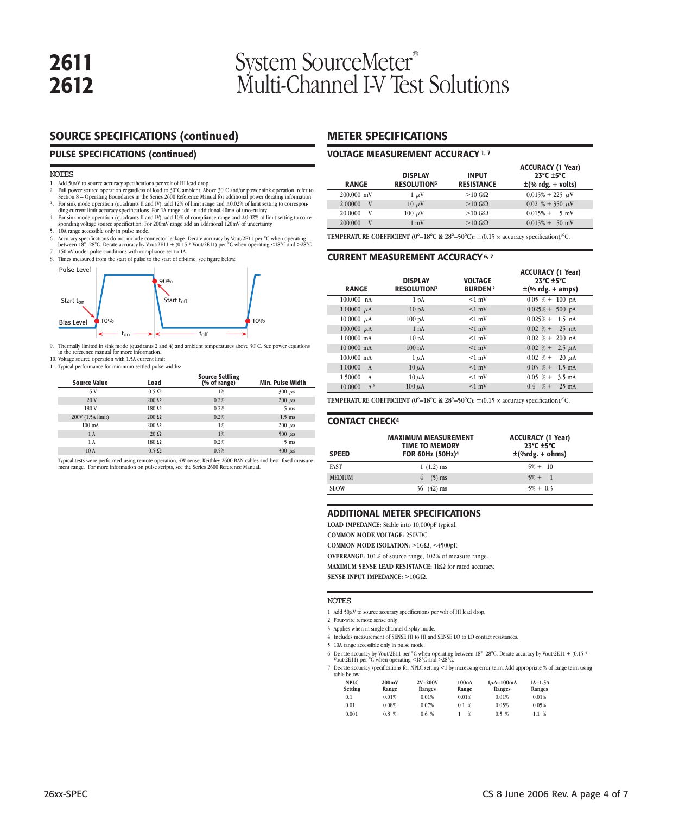# **2611** System SourceMeter<sup>®</sup><br> **2612** Multi-Channel I-V Tes **2612** Multi-Channel I-V Test Solutions

# **SOURCE SPECIFICATIONS (continued)**

### **PULSE SPECIFICATIONS (continued)**

### NOTES

- 
- 1. Add 50µV to source accuracy specifications per volt of HI lead drop. 2. Full power source operation regardless of load to 30°C ambient. Above 30°C and/or power sink operation, refer to Section 8 – Operating Boundaries in the Series 2600 Reference Manual for additional power derating information.
- 3. For sink mode operation (quadrants II and IV), add 12% of limit range and ±0.02% of limit setting to correspondinations and the state of the state of the state of the state of the state of the state of the state of the
- sponding voltage source specification. For 200mV range add an additional 120mV of uncertainty. 5. 10A range accessible only in pulse mode.
- 6. Accuracy specifications do not include connector leakage. Derate accuracy by Vout/2E11 per °C when operating between 18°–28°C. Derate accuracy by Vout/2E11 + (0.15 \* Vout/2E11) per °C when operating <18°C and >28°C.
- 7. 150mV under pulse conditions with compliance set to 1A.<br>8. Times measured from the start of oulse to the start of off-ti Times measured from the start of pulse to the start of off-time; see figure below.
- 



9. Thermally limited in sink mode (quadrants 2 and 4) and ambient temperatures above 30°C. See power equations in the reference manual for more information. 10. Voltage source operation with 1.5A current limit.

11. Typical performance for minimum settled pulse widths

| percent procedures and continuous percent public structure |              |                                        |                      |  |  |
|------------------------------------------------------------|--------------|----------------------------------------|----------------------|--|--|
| <b>Source Value</b>                                        | Load         | <b>Source Settling</b><br>(% of range) | Min. Pulse Width     |  |  |
|                                                            | $0.5 \Omega$ |                                        | $300$ $\mu$ s        |  |  |
| ----                                                       | $\cdots$     | $\sim$ $\sim$ $\sim$ $\sim$            | $\sim$ $\sim$ $\sim$ |  |  |

| אל                | U. 2 52       | 176  | $200 \mu s$     |
|-------------------|---------------|------|-----------------|
| 20V               | $200 \Omega$  | 0.2% | $200 \ \mu s$   |
| 180 V             | $180\ \Omega$ | 0.2% | 5 <sub>ms</sub> |
| 200V (1.5A limit) | $200 \Omega$  | 0.2% | $1.5$ ms        |
| $100 \text{ mA}$  | $200 \Omega$  | 1%   | $200 \mu s$     |
| 1 A               | $20 \Omega$   | 1%   | $500 \mu s$     |
| 1 A               | $180\ \Omega$ | 0.2% | 5 <sub>ms</sub> |
| 10A               | $0.5 \Omega$  | 0.5% | $300 \mu s$     |

Typical tests were performed using remote operation, 4W sense, Keithley 2600-BAN cables and best, fixed measurement range. For more information on pulse scripts, see the Series 2600 Reference Manual

## **METER SPECIFICATIONS**

### **VOLTAGE MEASUREMENT ACCURACY 1, 7**

| <b>RANGE</b> | <b>DISPLAY</b><br><b>RESOLUTION</b> <sup>3</sup> | <b>INPUT</b><br><b>RESISTANCE</b> | <b>ACCURACY (1 Year)</b><br>23 $^{\circ}$ C $\pm$ 5 $^{\circ}$ C<br>$\pm$ (% rdg. + volts) |
|--------------|--------------------------------------------------|-----------------------------------|--------------------------------------------------------------------------------------------|
| 200,000 mV   | $1 \mu V$                                        | $>10$ G $\Omega$                  | $0.015\% + 225 \mu V$                                                                      |
| 2.00000<br>V | $10 \mu V$                                       | $>10$ G $\Omega$                  | $0.02~\% + 350~\mu$ V                                                                      |
| V<br>20,0000 | $100 \mu V$                                      | $>10$ G $\Omega$                  | $0.015\% + 5$ mV                                                                           |
| V<br>200,000 | $1 \text{ mV}$                                   | $>10$ G $\Omega$                  | $0.015\% + 50$ mV                                                                          |

**TEMPERATURE COEFFICIENT (0°-18°C & 28°-50°C):**  $\pm$ (0.15 × accuracy specification)/°C.

### **CURRENT MEASUREMENT ACCURACY 6, 7**

| <b>RANGE</b>              | <b>DISPLAY</b><br><b>RESOLUTION3</b> | <b>VOLTAGE</b><br><b>BURDEN2</b> | <b>ACCURACY (1 Year)</b><br>$23^{\circ}$ C $\pm 5^{\circ}$ C<br>$\pm$ (% rdg. + amps) |
|---------------------------|--------------------------------------|----------------------------------|---------------------------------------------------------------------------------------|
| 100.000 nA                | 1 <sub>pA</sub>                      | $<1$ mV                          | $0.05 \% + 100$ pA                                                                    |
| 1.00000 $\mu$ A           | 10 <sub>pA</sub>                     | $<1$ mV                          | $0.025\% + 500$ pA                                                                    |
| 10.0000 $\mu$ A           | 100 <sub>pA</sub>                    | $<1$ mV                          | $0.025\% + 1.5$ nA                                                                    |
| 100.000 $\mu$ A           | 1 nA                                 | $<1$ mV                          | $0.02 \% + 25 nA$                                                                     |
| $1.00000 \text{ mA}$      | 10 <sub>nA</sub>                     | $<1$ mV                          | $0.02 \% + 200$ nA                                                                    |
| 10,0000 mA                | 100nA                                | $<1$ mV                          | $0.02~\% + 2.5~\mu\text{A}$                                                           |
| $100.000$ mA              | $1 \mu A$                            | $<1$ mV                          | $0.02 \% +$<br>$20 \mu A$                                                             |
| 1.00000<br>$\mathbf{A}$   | $10 \mu A$                           | $<1$ mV                          | $0.03\text{ %}+1.5\text{ mA}$                                                         |
| 1.50000<br>$\mathbf{A}$   | $10 \mu A$                           | $<1$ mV                          | $0.05\text{ %} + 3.5\text{ mA}$                                                       |
| 10.0000<br>A <sup>5</sup> | $100 \mu A$                          | $<1$ mV                          | $0.4 \quad \% +$<br>$25 \text{ mA}$                                                   |

**TEMPERATURE COEFFICIENT (0°-18°C & 28°-50°C):**  $\pm$ (0.15  $\times$  accuracy specification)/°C.

### **CONTACT CHECK4**

| <b>SPEED</b>  | <b>MAXIMUM MEASUREMENT</b><br><b>TIME TO MEMORY</b><br>FOR 60Hz (50Hz) <sup>4</sup> | <b>ACCURACY (1 Year)</b><br>$23^{\circ}$ C $\pm 5^{\circ}$ C<br>$\pm$ (%rdg. + ohms) |
|---------------|-------------------------------------------------------------------------------------|--------------------------------------------------------------------------------------|
| <b>FAST</b>   | $1(1.2)$ ms                                                                         | $5\% + 10$                                                                           |
| <b>MEDIUM</b> | $(5)$ ms                                                                            | $5\% + 1$                                                                            |
| <b>SLOW</b>   | $36 \quad (42) \text{ ms}$                                                          | $5\% + 0.3$                                                                          |

### **ADDITIONAL METER SPECIFICATIONS**

**LOAD IMPEDANCE:** Stable into 10,000pF typical.

**COMMON MODE VOLTAGE:** 250VDC.

**COMMON MODE ISOLATION:** >1GΩ, <4500pF.

**OVERRANGE:** 101% of source range, 102% of measure range.

**MAXIMUM SENSE LEAD RESISTANCE:** 1kΩ for rated accuracy.

**SENSE INPUT IMPEDANCE:** >10GQ.

### NOTES

- 1. Add  $50\mu$ V to source accuracy specifications per volt of HI lead drop.
- 2. Four-wire remote sense only.
- 3. Applies when in single channel display mode.
- 4. Includes measurement of SENSE HI to HI and SENSE LO to LO contact resistances.
- 5. 10A range accessible only in pulse mode.
- 

6. De-rate accuracy by Vout/2E11 per °C when operating between 18°–28°C. Derate accuracy by Vout/2E11 + (0.15 \*<br>- Vout/2E11) per °C when operating <18°C and >28°C.<br>7. De-rate accuracy specifications for NPLC setting <1 by table below:

| <b>NPLC</b><br>Setting | 200mV<br>Range | 2V-200V<br>Ranges | 100nA<br>Range | $1\mu$ A $-100$ mA<br>Ranges | $1A-1.5A$<br>Ranges |
|------------------------|----------------|-------------------|----------------|------------------------------|---------------------|
| 0.1                    | 0.01%          | 0.01%             | 0.01%          | 0.01%                        | 0.01%               |
| 0.01                   | 0.08%          | 0.07%             | 0.1%           | 0.05%                        | 0.05%               |
| 0.001                  | 0.8%           | 0.6~%             | %              | 0.5%                         | 1.1%                |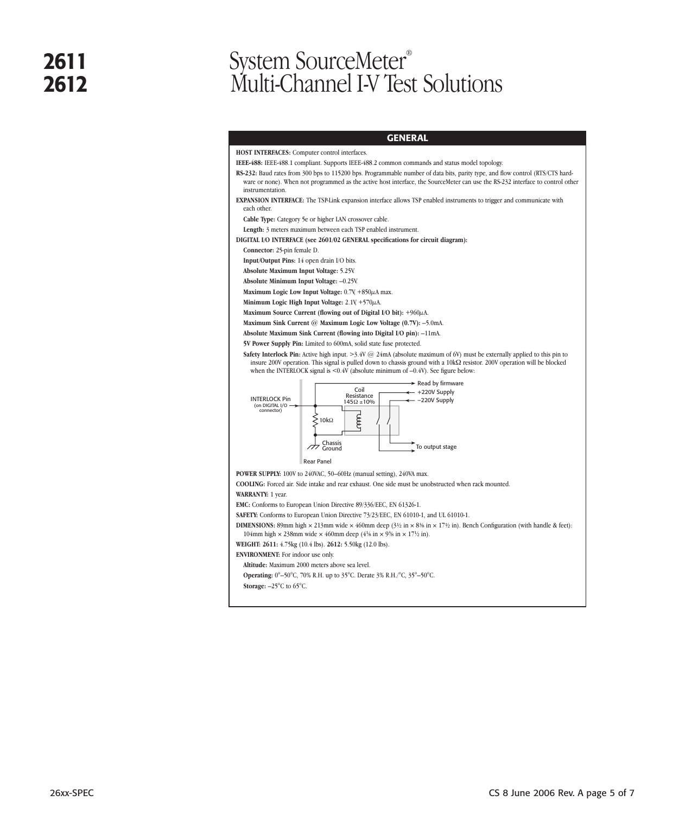# **2611** System SourceMeter<sup>®</sup><br> **2612** Multi-Channel LV Tes **2612** Multi-Channel I-V Test Solutions

### **GENERAL**

**HOST INTERFACES:** Computer control interfaces. **IEEE-488:** IEEE-488.1 compliant. Supports IEEE-488.2 common commands and status model topology. **RS-232:** Baud rates from 300 bps to 115200 bps. Programmable number of data bits, parity type, and flow control (RTS/CTS hardware or none). When not programmed as the active host interface, the SourceMeter can use the RS-232 interface to control other instrumentation. **EXPANSION INTERFACE:** The TSP-Link expansion interface allows TSP enabled instruments to trigger and communicate with each other. **Cable Type:** Category 5e or higher LAN crossover cable. **Length:** 3 meters maximum between each TSP enabled instrument. **DIGITAL I/O INTERFACE (see 2601/02 GENERAL specifications for circuit diagram): Connector:** 25-pin female D. **Input/Output Pins:** 14 open drain I/O bits. **Absolute Maximum Input Voltage:** 5.25V. **Absolute Minimum Input Voltage:** –0.25V. **Maximum Logic Low Input Voltage:** 0.7V, +850µA max. Minimum Logic High Input Voltage:  $2.1$ V,  $+570\mu$ A. **Maximum Source Current (flowing out of Digital I/O bit):** +960µA. **Maximum Sink Current @ Maximum Logic Low Voltage (0.7V):** –5.0mA. **Absolute Maximum Sink Current (flowing into Digital I/O pin):** –11mA. **5V Power Supply Pin:** Limited to 600mA, solid state fuse protected. **Safety Interlock Pin:** Active high input. >3.4V @ 24mA (absolute maximum of 6V) must be externally applied to this pin to insure 200V operation. This signal is pulled down to chassis ground with a 10kΩ resistor. 200V operation will be blocked when the INTERLOCK signal is <0.4V (absolute minimum of -0.4V). See figure below:  $\blacktriangleright$  Read by firmware  $\leftarrow$  +220V Supply Coil<br>Resistance<br>145Ω ±10% INTERLOCK Pin - -220V Supply (on DIGITAL I/O connector) Coop  $\lessgtr$  10kΩ Chassis<br>Ground  $\overline{\phantom{a}}$ To output stage Rear Panel **POWER SUPPLY:** 100V to 240VAC, 50–60Hz (manual setting), 240VA max. **COOLING:** Forced air. Side intake and rear exhaust. One side must be unobstructed when rack mounted. **WARRANTY:** 1 year. **EMC:** Conforms to European Union Directive 89/336/EEC, EN 61326-1. **SAFETY:** Conforms to European Union Directive 73/23/EEC, EN 61010-1, and UL 61010-1. **DIMENSIONS:** 89mm high  $\times$  213mm wide  $\times$  460mm deep (3½ in  $\times$  83% in  $\times$  17½ in). Bench Configuration (with handle & feet): 104mm high  $\times$  238mm wide  $\times$  460mm deep (4<sup>1</sup>/<sub>8</sub> in  $\times$  9<sup>3</sup>/<sub>8</sub> in  $\times$  17<sup>1</sup>/<sub>2</sub> in). **WEIGHT: 2611:** 4.75kg (10.4 lbs). **2612:** 5.50kg (12.0 lbs). **ENVIRONMENT:** For indoor use only. **Altitude:** Maximum 2000 meters above sea level. **Operating:** 0°–50°C, 70% R.H. up to 35°C. Derate 3% R.H./°C, 35°–50°C. **Storage:** –25°C to 65°C.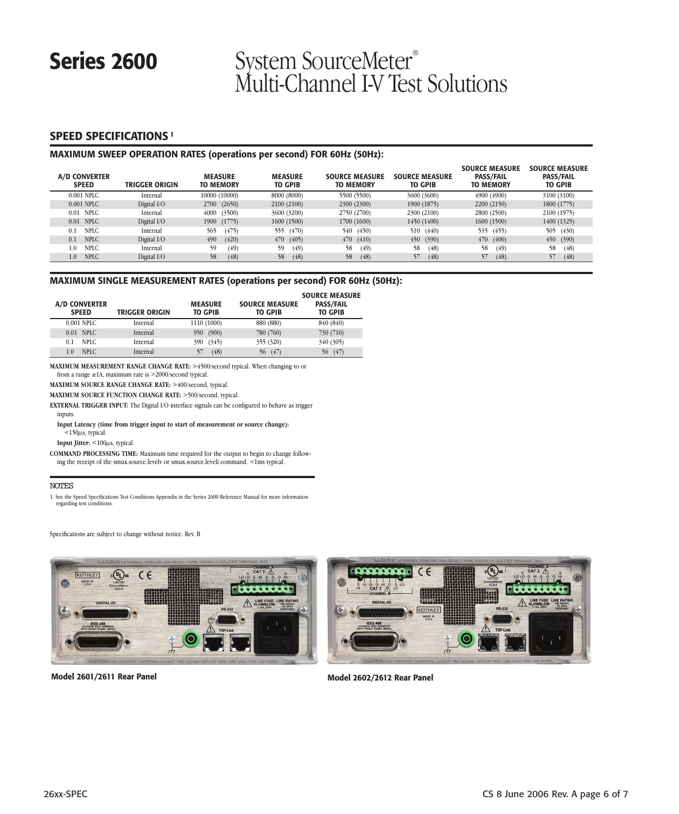# Series 2600 System SourceMeter<sup>®</sup> Multi-Channel I-V Test Solutions

### **SPEED SPECIFICATIONS <sup>1</sup>**

### **MAXIMUM SWEEP OPERATION RATES (operations per second) FOR 60Hz (50Hz):**

| A/D CONVERTER<br><b>SPEED</b> | TRIGGER ORIGIN | <b>MEASURE</b><br><b>TO MEMORY</b> | <b>MEASURE</b><br><b>TO GPIB</b> | <b>SOURCE MEASURE</b><br><b>TO MEMORY</b> | <b>SOURCE MEASURE</b><br><b>TO GPIB</b> | <b>SOURCE MEASURE</b><br><b>PASS/FAIL</b><br><b>TO MEMORY</b> | <b>SOURCE MEASURE</b><br><b>PASS/FAIL</b><br><b>TO GPIB</b> |
|-------------------------------|----------------|------------------------------------|----------------------------------|-------------------------------------------|-----------------------------------------|---------------------------------------------------------------|-------------------------------------------------------------|
| 0.001 NPLC                    | Internal       | 10000 (10000)                      | 8000 (8000)                      | 5500 (5500)                               | 3600 (3600)                             | 4900 (4900)                                                   | 3100 (3100)                                                 |
| 0.001 NPLC                    | Digital I/O    | (2650)<br>2700                     | 2100 (2100)                      | 2300 (2300)                               | 1900 (1875)                             | 2200 (2150)                                                   | 1800 (1775)                                                 |
| $0.01$ NPLC                   | Internal       | (3500)<br>4000                     | 3600 (3200)                      | 2750 (2700)                               | 2300 (2100)                             | 2800 (2500)                                                   | 2100 (1975)                                                 |
| $0.01$ NPLC                   | Digital I/O    | (1775)<br>1900                     | 1600 (1500)                      | 1700 (1600)                               | 1450 (1400)                             | 1600 (1500)                                                   | 1400 (1325)                                                 |
| <b>NPLC</b><br>0.1            | Internal       | (475)<br>565                       | (470)<br>555                     | 540 (450)                                 | 510<br>(440)                            | 535 (455)                                                     | 505<br>(430)                                                |
| <b>NPLC</b><br>0.1            | Digital I/O    | 490<br>(420)                       | 470<br>(405)                     | 470<br>(410)                              | 450<br>(390)                            | 470(400)                                                      | 450 (390)                                                   |
| <b>NPLC</b><br>1.0            | Internal       | (49)<br>59                         | 59<br>(49)                       | 58<br>(49)                                | 58<br>(48)                              | 58<br>(49)                                                    | 58<br>(48)                                                  |
| <b>NPLC</b><br>1.0            | Digital I/O    | 58<br>(48)                         | (48)<br>58                       | 58<br>(48)                                | 57<br>(48)                              | 57<br>(48)                                                    | 57<br>(48)                                                  |

### **MAXIMUM SINGLE MEASUREMENT RATES (operations per second) FOR 60Hz (50Hz):**

| <b>A/D CONVERTER</b><br><b>SPEED</b> | <b>TRIGGER ORIGIN</b> | <b>MEASURE</b><br><b>TO GPIB</b> | <b>SOURCE MEASURE</b><br><b>TO GPIB</b> | <b>SOURCE MEASURE</b><br><b>PASS/FAIL</b><br><b>TO GPIB</b> |
|--------------------------------------|-----------------------|----------------------------------|-----------------------------------------|-------------------------------------------------------------|
| 0.001 NPLC                           | Internal              | 1110 (1000)                      | 880 (880)                               | 840 (840)                                                   |
| $0.01$ NPLC                          | Internal              | (900)<br>950                     | 780 (760)                               | 730 (710)                                                   |
| NPLC.<br>0.1                         | Internal              | (345)<br>390                     | 355 (320)                               | 340 (305)                                                   |
| NPLC.<br>1.0                         | Internal              | (48)<br>57                       | (47)<br>56                              | (47)<br>56                                                  |

**MAXIMUM MEASUREMENT RANGE CHANGE RATE:** >4500/second typical. When changing to or from a range ≥1A, maximum rate is >2000/second typical.

**MAXIMUM SOURCE RANGE CHANGE RATE:** >400/second, typical.

**MAXIMUM SOURCE FUNCTION CHANGE RATE:** >500/second, typical.

**EXTERNAL TRIGGER INPUT:** The Digital I/O interface signals can be configured to behave as trigger inputs.

**Input Latency (time from trigger input to start of measurement or source change):**  $<$  150 $\mu$ s, typical.

**Input Jitter:** <100µs, typical.

**COMMAND PROCESSING TIME:** Maximum time required for the output to begin to change following the receipt of the smux.source.levelv or smux.source.leveli command. <1ms typical.

### NOTES

1. See the Speed Specifications Test Conditions Appendix in the Series 2600 Reference Manual for more information regarding test conditions.

Specifications are subject to change without notice. Rev. B





**Model 2601/2611 Rear Panel Model 2602/2612 Rear Panel**